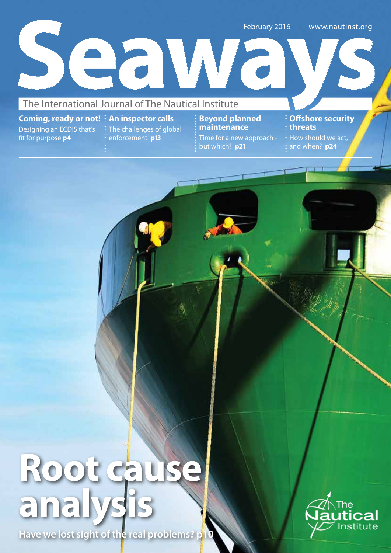February 2016 www.nautinst.org<br>The International Journal of The Nautical Institute www.nautinst.org

**Coming, ready or not! An inspector calls** Designing an ECDIS that's fit for purpose **p4**

The challenges of global enforcement **p13**

**Beyond planned maintenance** Time for a new approach but which? **p21**

**Offshore security threats**  How should we act, and when? **p24**

# **Root cau analysis**

**Have we lost sight of the real problems? p10**

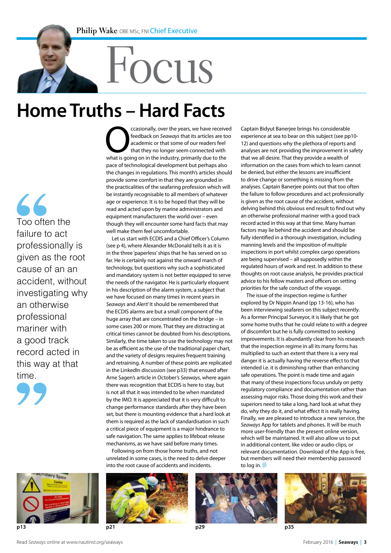**Casionally, over the years, we have received**<br>
feedback on *Seaways* that its articles are too<br>
academic or that some of our readers feel<br>
that they no longer seem connected with<br>
what is going on in the industry, primari

pace of technological development but perhaps also the changes in regulations. This month's articles should provide some comfort in that they are grounded in the practicalities of the seafaring profession which will be instantly recognisable to all members of whatever age or experience. It is to be hoped that they will be read and acted upon by marine administrators and equipment manufacturers the world over – even though they will encounter some hard facts that may

Let us start with ECDIS and a Chief Officer's Column (see p 4), where Alexander McDonald tells it as it is in the three 'paperless' ships that he has served on so far. He is certainly not against the onward march of technology, but questions why such a sophisticated and mandatory system is not better equipped to serve the needs of the navigator. He is particularly eloquent in his description of the alarm system, a subject that we have focused on many times in recent years in *Seaways* and *Alert!* It should be remembered that the ECDIS alarms are but a small component of the huge array that are concentrated on the bridge – in some cases 200 or more. That they are distracting at critical times cannot be doubted from his descriptions. Similarly, the time taken to use the technology may not be as efficient as the use of the traditional paper chart, and the variety of designs requires frequent training and retraining. A number of these points are replicated in the LinkedIn discussion (see p33) that ensued after Arne Sagen's article in October's *Seaways*, where again there was recognition that ECDIS is here to stay, but is not all that it was intended to be when mandated by the IMO. It is appreciated that it is very difficult to change performance standards after they have been set, but there is mounting evidence that a hard look at them is required as the lack of standardisation in such a critical piece of equipment is a major hindrance to safe navigation. The same applies to lifeboat release mechanisms, as we have said before many times. Following on from those home truths, and not unrelated in some cases, is the need to delve deeper into the root cause of accidents and incidents.

well make them feel uncomfortable.

feedback on *Seaways* that its articles are too academic or that some of our readers feel that they no longer seem connected with

## Focus **Home Truths – Hard Facts**

 $\overline{\mathcal{L}}$ Too often the failure to act professionally is given as the root cause of an an accident, without investigating why an otherwise professional mariner with a good track record acted in this way at that time.







to log in.

Captain Bidyut Banerjee brings his considerable experience at sea to bear on this subject (see pp10- 12) and questions why the plethora of reports and analyses are not providing the improvement in safety that we all desire. That they provide a wealth of information on the cases from which to learn cannot be denied, but either the lessons are insufficient to drive change or something is missing from the analyses. Captain Banerjee points out that too often the failure to follow procedures and act professionally is given as the root cause of the accident, without delving behind this obvious end result to find out why an otherwise professional mariner with a good track record acted in this way at that time. Many human factors may lie behind the accident and should be fully identified in a thorough investigation, including manning levels and the imposition of multiple inspections in port whilst complex cargo operations are being supervised – all supposedly within the regulated hours of work and rest. In addition to these thoughts on root cause analysis, he provides practical advice to his fellow masters and officers on setting priorities for the safe conduct of the voyage. The issue of the inspection regime is further explored by Dr Nippin Anand (pp 13-16), who has been interviewing seafarers on this subject recently. As a former Principal Surveyor, it is likely that he got some home truths that he could relate to with a degree of discomfort but he is fully committed to seeking improvements. It is abundantly clear from his research that the inspection regime in all its many forms has multiplied to such an extent that there is a very real danger it is actually having the reverse effect to that intended i.e. it is diminishing rather than enhancing safe operations. The point is made time and again that many of these inspections focus unduly on petty regulatory compliance and documentation rather than assessing major risks. Those doing this work and their superiors need to take a long, hard look at what they do, why they do it, and what effect it is really having. Finally, we are pleased to introduce a new service, the *Seaways* App for tablets and phones. It will be much more user-friendly than the present online version, which will be maintained. It will also allow us to put in additional content, like video or audio clips, or relevant documentation. Download of the App is free, but members will need their membership password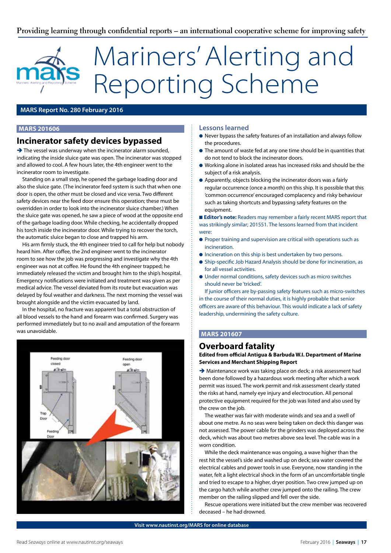## **Providing learning through confidential reports – an international cooperative scheme for improving safety**

## Mariners' Alerting and Reporting Scheme

## **MARS Report No. 280 February 2016**

## **MARS 201606**

## **Incinerator safety devices bypassed**

 $\rightarrow$  The vessel was underway when the incinerator alarm sounded, indicating the inside sluice gate was open. The incinerator was stopped and allowed to cool. A few hours later, the 4th engineer went to the incinerator room to investigate.

Standing on a small step, he opened the garbage loading door and also the sluice gate. (The incinerator feed system is such that when one door is open, the other must be closed and vice versa. Two different safety devices near the feed door ensure this operation; these must be overridden in order to look into the incinerator sluice chamber.) When the sluice gate was opened, he saw a piece of wood at the opposite end of the garbage loading door. While checking, he accidentally dropped his torch inside the incinerator door. While trying to recover the torch, the automatic sluice began to close and trapped his arm.

His arm firmly stuck, the 4th engineer tried to call for help but nobody heard him. After coffee, the 2nd engineer went to the incinerator room to see how the job was progressing and investigate why the 4th engineer was not at coffee. He found the 4th engineer trapped; he immediately released the victim and brought him to the ship's hospital. Emergency notifications were initiated and treatment was given as per medical advice. The vessel deviated from its route but evacuation was delayed by foul weather and darkness. The next morning the vessel was brought alongside and the victim evacuated by land.

In the hospital, no fracture was apparent but a total obstruction of all blood vessels to the hand and forearm was confirmed. Surgery was performed immediately but to no avail and amputation of the forearm was unavoidable.



### **Lessons learned**

- l Never bypass the safety features of an installation and always follow the procedures.
- **•** The amount of waste fed at any one time should be in quantities that do not tend to block the incinerator doors.
- l Working alone in isolated areas has increased risks and should be the subject of a risk analysis.
- l Apparently, objects blocking the incinerator doors was a fairly regular occurrence (once a month) on this ship. It is possible that this 'common occurrence' encouraged complacency and risky behaviour such as taking shortcuts and bypassing safety features on the equipment.

**Editor's note:** Readers may remember a fairly recent MARS report that was strikingly similar; 201551. The lessons learned from that incident were:

- **•** Proper training and supervision are critical with operations such as incineration.
- $\bullet$  Incineration on this ship is best undertaken by two persons.
- **•** Ship-specific Job Hazard Analysis should be done for incineration, as for all vessel activities.
- $\bullet$  Under normal conditions, safety devices such as micro switches should never be 'tricked'.

If junior officers are by-passing safety features such as micro-switches in the course of their normal duties, it is highly probable that senior officers are aware of this behaviour. This would indicate a lack of safety leadership, undermining the safety culture.

## **MARS 201607**

## **Overboard fatality**

**Edited from official Antigua & Barbuda W.I. Department of Marine Services and Merchant Shipping Report**

 $\rightarrow$  Maintenance work was taking place on deck; a risk assessment had been done followed by a hazardous work meeting after which a work permit was issued. The work permit and risk assessment clearly stated the risks at hand, namely eye injury and electrocution. All personal protective equipment required for the job was listed and also used by the crew on the job.

The weather was fair with moderate winds and sea and a swell of about one metre. As no seas were being taken on deck this danger was not assessed. The power cable for the grinders was deployed across the deck, which was about two metres above sea level. The cable was in a worn condition.

While the deck maintenance was ongoing, a wave higher than the rest hit the vessel's side and washed up on deck; sea water covered the electrical cables and power tools in use. Everyone, now standing in the water, felt a light electrical shock in the form of an uncomfortable tingle and tried to escape to a higher, dryer position. Two crew jumped up on the cargo hatch while another crew jumped onto the railing. The crew member on the railing slipped and fell over the side.

Rescue operations were initiated but the crew member was recovered deceased – he had drowned.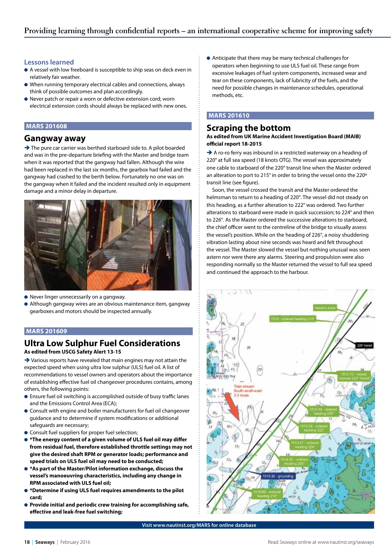## **Lessons learned**

- A vessel with low freeboard is susceptible to ship seas on deck even in relatively fair weather.
- $\bullet$  When running temporary electrical cables and connections, always think of possible outcomes and plan accordingly.
- **.** Never patch or repair a worn or defective extension cord; worn electrical extension cords should always be replaced with new ones.

## **MARS 201608**

## **Gangway away**

 $\rightarrow$  The pure car carrier was berthed starboard side to. A pilot boarded and was in the pre-departure briefing with the Master and bridge team when it was reported that the gangway had fallen. Although the wire had been replaced in the last six months, the gearbox had failed and the gangway had crashed to the berth below. Fortunately no one was on the gangway when it failed and the incident resulted only in equipment damage and a minor delay in departure.



- **•** Never linger unnecessarily on a gangway.
- l Although gangway wires are an obvious maintenance item, gangway gearboxes and motors should be inspected annually.

## **MARS 201609**

## **Ultra Low Sulphur Fuel Considerations As edited from USCG Safety Alert 13-15**

 $\rightarrow$  Various reports have revealed that main engines may not attain the expected speed when using ultra low sulphur (ULS) fuel oil. A list of recommendations to vessel owners and operators about the importance of establishing effective fuel oil changeover procedures contains, among others, the following points:

- Ensure fuel oil switching is accomplished outside of busy traffic lanes and the Emissions Control Area (ECA);
- **Consult with engine and boiler manufacturers for fuel oil changeover** guidance and to determine if system modifications or additional safeguards are necessary;
- **Consult fuel suppliers for proper fuel selection;**
- $\bullet$  **\*The energy content of a given volume of ULS fuel oil may differ from residual fuel, therefore established throttle settings may not give the desired shaft RPM or generator loads; performance and speed trials on ULS fuel oil may need to be conducted;**
- $\bullet$  **\*As part of the Master/Pilot information exchange, discuss the vessel's manoeuvring characteristics, including any change in RPM associated with ULS fuel oil;**
- $\bullet$  **\*Determine if using ULS fuel requires amendments to the pilot card;**
- **Provide initial and periodic crew training for accomplishing safe, effective and leak-free fuel switching;**

l Anticipate that there may be many technical challenges for operators when beginning to use ULS fuel oil. These range from excessive leakages of fuel system components, increased wear and tear on these components, lack of lubricity of the fuels, and the need for possible changes in maintenance schedules, operational methods, etc.

## **MARS 201610**

## **Scraping the bottom**

### **As edited from UK Marine Accident Investigation Board (MAIB) official report 18-2015**

A ro-ro ferry was inbound in a restricted waterway on a heading of 220° at full sea speed (18 knots OTG). The vessel was approximately one cable to starboard of the 220° transit line when the Master ordered an alteration to port to 215° in order to bring the vessel onto the 220º transit line (see figure).

Soon, the vessel crossed the transit and the Master ordered the helmsman to return to a heading of 220°. The vessel did not steady on this heading, as a further alteration to 222° was ordered. Two further alterations to starboard were made in quick succession; to 224° and then to 226°. As the Master ordered the successive alterations to starboard, the chief officer went to the centreline of the bridge to visually assess the vessel's position. While on the heading of 226°, a noisy shuddering vibration lasting about nine seconds was heard and felt throughout the vessel. The Master slowed the vessel but nothing unusual was seen astern nor were there any alarms. Steering and propulsion were also responding normally so the Master returned the vessel to full sea speed and continued the approach to the harbour.



**Visit www.nautinst.org/MARS for online database**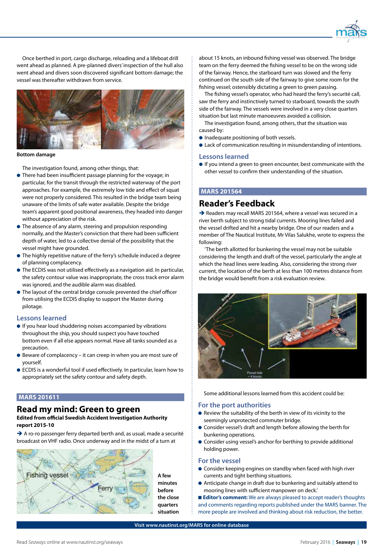

Once berthed in port, cargo discharge, reloading and a lifeboat drill went ahead as planned. A pre-planned divers' inspection of the hull also went ahead and divers soon discovered significant bottom damage; the vessel was thereafter withdrawn from service.



#### **Bottom damage**

The investigation found, among other things, that:

- **•** There had been insufficient passage planning for the voyage; in particular, for the transit through the restricted waterway of the port approaches. For example, the extremely low tide and effect of squat were not properly considered. This resulted in the bridge team being unaware of the limits of safe water available. Despite the bridge team's apparent good positional awareness, they headed into danger without appreciation of the risk.
- $\bullet$  The absence of any alarm, steering and propulsion responding normally, and the Master's conviction that there had been sufficient depth of water, led to a collective denial of the possibility that the vessel might have grounded.
- $\bullet$  The highly repetitive nature of the ferry's schedule induced a degree of planning complacency.
- $\bullet$  The ECDIS was not utilised effectively as a navigation aid. In particular, the safety contour value was inappropriate, the cross track error alarm was ignored, and the audible alarm was disabled.
- $\bullet$  The layout of the central bridge console prevented the chief officer from utilising the ECDIS display to support the Master during pilotage.

### **Lessons learned**

- **.** If you hear loud shuddering noises accompanied by vibrations throughout the ship, you should suspect you have touched bottom even if all else appears normal. Have all tanks sounded as a precaution.
- $\bullet$  Beware of complacency it can creep in when you are most sure of yourself.
- **ECDIS** is a wonderful tool if used effectively. In particular, learn how to appropriately set the safety contour and safety depth.

#### **MARS 201611**

## **Read my mind: Green to green**

### **Edited from official Swedish Accident Investigation Authority report 2015-10**

 $\rightarrow$  A ro-ro passenger ferry departed berth and, as usual, made a securité broadcast on VHF radio. Once underway and in the midst of a turn at



about 15 knots, an inbound fishing vessel was observed. The bridge team on the ferry deemed the fishing vessel to be on the wrong side of the fairway. Hence, the starboard turn was slowed and the ferry continued on the south side of the fairway to give some room for the fishing vessel; ostensibly dictating a green to green passing.

The fishing vessel's operator, who had heard the ferry's securité call, saw the ferry and instinctively turned to starboard, towards the south side of the fairway. The vessels were involved in a very close quarters situation but last minute manoeuvres avoided a collision.

The investigation found, among others, that the situation was caused by:

- **Inadequate positioning of both vessels.**
- **.** Lack of communication resulting in misunderstanding of intentions.

#### **Lessons learned**

 $\bullet$  If you intend a green to green encounter, best communicate with the other vessel to confirm their understanding of the situation.

## **MARS 201564**

## **Reader's Feedback**

 $\rightarrow$  Readers may recall MARS 201564, where a vessel was secured in a river berth subject to strong tidal currents. Mooring lines failed and the vessel drifted and hit a nearby bridge. One of our readers and a member of The Nautical Institute, Mr Vilas Salukhe, wrote to express the following:

'The berth allotted for bunkering the vessel may not be suitable considering the length and draft of the vessel, particularly the angle at which the head lines were leading. Also, considering the strong river current, the location of the berth at less than 100 metres distance from the bridge would benefit from a risk evaluation review.



Some additional lessons learned from this accident could be:

#### **For the port authorities**

- $\bullet$  Review the suitability of the berth in view of its vicinity to the seemingly unprotected commuter bridge.
- Consider vessel's draft and length before allowing the berth for bunkering operations.
- **•** Consider using vessel's anchor for berthing to provide additional holding power.

#### **For the vessel**

- **Consider keeping engines on standby when faced with high river** currents and tight berthing situations.
- l Anticipate change in draft due to bunkering and suitably attend to mooring lines with sufficient manpower on deck.'

**Editor's comment:** We are always pleased to accept reader's thoughts

and comments regarding reports published under the MARS banner. The more people are involved and thinking about risk reduction, the better.